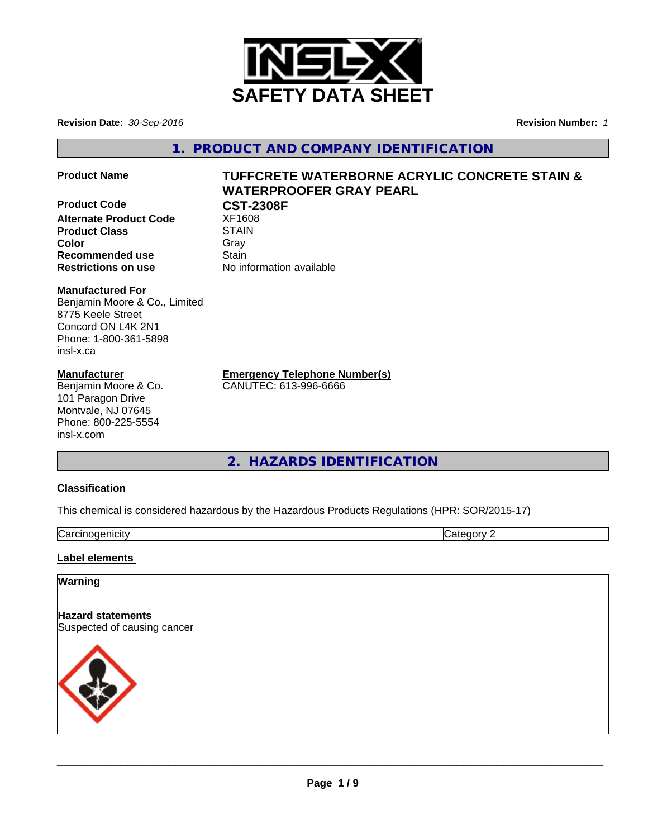

**Revision Date:** *30-Sep-2016* **Revision Number:** *1*

**1. PRODUCT AND COMPANY IDENTIFICATION**

**Product Name TUFFCRETE WATERBORNE ACRYLIC CONCRETE STAIN &**

## **Product Code CST-2308F Alternate Product Code** XF1608

**Product Class STAIN Recommended use Stain** 

# **WATERPROOFER GRAY PEARL**

**Color** Gray Gray **Restrictions on use** No information available

#### **Manufactured For**

Benjamin Moore & Co., Limited 8775 Keele Street Concord ON L4K 2N1 Phone: 1-800-361-5898 insl-x.ca

#### **Manufacturer**

Benjamin Moore & Co. 101 Paragon Drive Montvale, NJ 07645 Phone: 800-225-5554 insl-x.com

**Emergency Telephone Number(s)**

CANUTEC: 613-996-6666

## **2. HAZARDS IDENTIFICATION**

#### **Classification**

This chemical is considered hazardous by the Hazardous Products Regulations (HPR: SOR/2015-17)

| ∽<br>.<br>- --<br>- - -<br>luar<br>ш<br><br>.  v | . . |
|--------------------------------------------------|-----|

#### **Label elements**

# **Warning Hazard statements** Suspected of causing cancer

 $\overline{\phantom{a}}$  ,  $\overline{\phantom{a}}$  ,  $\overline{\phantom{a}}$  ,  $\overline{\phantom{a}}$  ,  $\overline{\phantom{a}}$  ,  $\overline{\phantom{a}}$  ,  $\overline{\phantom{a}}$  ,  $\overline{\phantom{a}}$  ,  $\overline{\phantom{a}}$  ,  $\overline{\phantom{a}}$  ,  $\overline{\phantom{a}}$  ,  $\overline{\phantom{a}}$  ,  $\overline{\phantom{a}}$  ,  $\overline{\phantom{a}}$  ,  $\overline{\phantom{a}}$  ,  $\overline{\phantom{a}}$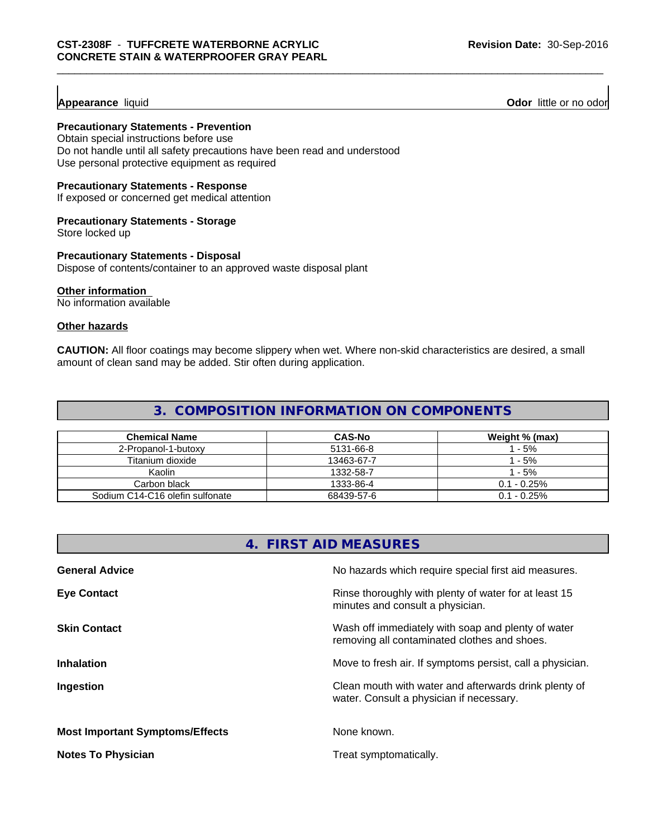**Appearance** liquid **Odor 11 Odor 11 Odor 11 Odor 11 Odor 11 Odor 11 Odor 11 Odor 11 Odor 11 Odor 11 Odor 11 Odor 11 Odor 11 Odor 11 Odor 11 Odor 11 Odor 11 Odor 11**

#### **Precautionary Statements - Prevention**

Obtain special instructions before use Do not handle until all safety precautions have been read and understood Use personal protective equipment as required

#### **Precautionary Statements - Response**

If exposed or concerned get medical attention

#### **Precautionary Statements - Storage**

Store locked up

#### **Precautionary Statements - Disposal**

Dispose of contents/container to an approved waste disposal plant

#### **Other information**

No information available

#### **Other hazards**

**CAUTION:** All floor coatings may become slippery when wet. Where non-skid characteristics are desired, a small amount of clean sand may be added. Stir often during application.

### **3. COMPOSITION INFORMATION ON COMPONENTS**

| <b>Chemical Name</b>            | <b>CAS-No</b> | Weight % (max) |
|---------------------------------|---------------|----------------|
| 2-Propanol-1-butoxy             | 5131-66-8     | $-5%$          |
| Titanium dioxide                | 13463-67-7    | - 5%           |
| Kaolin                          | 1332-58-7     | $-5%$          |
| Carbon black                    | 1333-86-4     | $0.1 - 0.25\%$ |
| Sodium C14-C16 olefin sulfonate | 68439-57-6    | $0.1 - 0.25\%$ |

#### **4. FIRST AID MEASURES**

| <b>General Advice</b>                  | No hazards which require special first aid measures.                                               |
|----------------------------------------|----------------------------------------------------------------------------------------------------|
| <b>Eye Contact</b>                     | Rinse thoroughly with plenty of water for at least 15<br>minutes and consult a physician.          |
| <b>Skin Contact</b>                    | Wash off immediately with soap and plenty of water<br>removing all contaminated clothes and shoes. |
| <b>Inhalation</b>                      | Move to fresh air. If symptoms persist, call a physician.                                          |
| Ingestion                              | Clean mouth with water and afterwards drink plenty of<br>water. Consult a physician if necessary.  |
| <b>Most Important Symptoms/Effects</b> | None known.                                                                                        |
| <b>Notes To Physician</b>              | Treat symptomatically.                                                                             |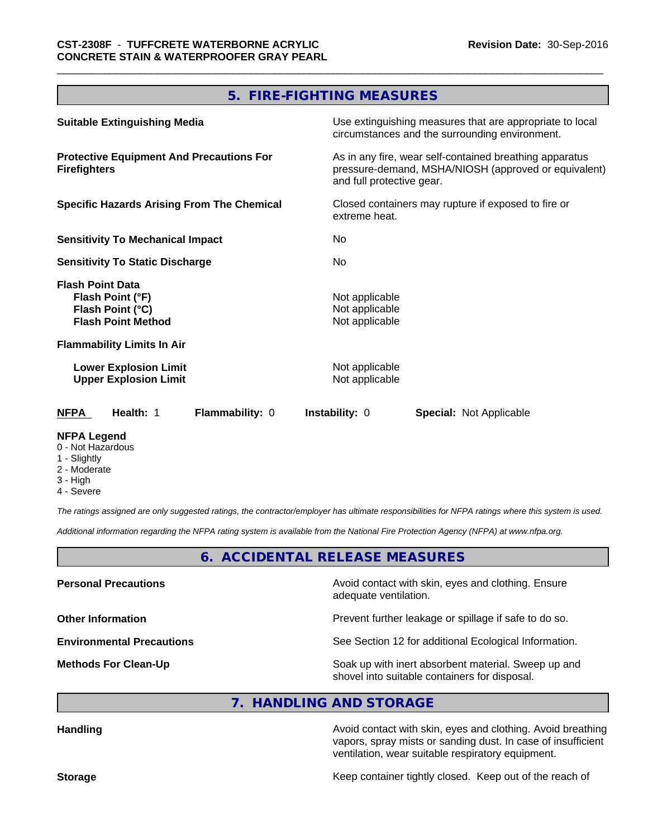#### **5. FIRE-FIGHTING MEASURES**

| <b>Suitable Extinguishing Media</b>                                                          | Use extinguishing measures that are appropriate to local<br>circumstances and the surrounding environment.                                   |  |  |
|----------------------------------------------------------------------------------------------|----------------------------------------------------------------------------------------------------------------------------------------------|--|--|
| <b>Protective Equipment And Precautions For</b><br><b>Firefighters</b>                       | As in any fire, wear self-contained breathing apparatus<br>pressure-demand, MSHA/NIOSH (approved or equivalent)<br>and full protective gear. |  |  |
| <b>Specific Hazards Arising From The Chemical</b>                                            | Closed containers may rupture if exposed to fire or<br>extreme heat.                                                                         |  |  |
| <b>Sensitivity To Mechanical Impact</b>                                                      | No.                                                                                                                                          |  |  |
| <b>Sensitivity To Static Discharge</b>                                                       | No.                                                                                                                                          |  |  |
| <b>Flash Point Data</b><br>Flash Point (°F)<br>Flash Point (°C)<br><b>Flash Point Method</b> | Not applicable<br>Not applicable<br>Not applicable                                                                                           |  |  |
| <b>Flammability Limits In Air</b>                                                            |                                                                                                                                              |  |  |
| <b>Lower Explosion Limit</b><br><b>Upper Explosion Limit</b>                                 | Not applicable<br>Not applicable                                                                                                             |  |  |
| Health: 1<br>Flammability: 0<br><b>NFPA</b>                                                  | <b>Instability: 0</b><br><b>Special: Not Applicable</b>                                                                                      |  |  |
| NFPA Legend                                                                                  |                                                                                                                                              |  |  |

## 0 - Not Hazardous

- 
- 1 Slightly 2 - Moderate
- 3 High
- 
- 4 Severe

*The ratings assigned are only suggested ratings, the contractor/employer has ultimate responsibilities for NFPA ratings where this system is used.*

*Additional information regarding the NFPA rating system is available from the National Fire Protection Agency (NFPA) at www.nfpa.org.*

**6. ACCIDENTAL RELEASE MEASURES**

| <b>Personal Precautions</b>      | Avoid contact with skin, eyes and clothing. Ensure<br>adequate ventilation.                          |
|----------------------------------|------------------------------------------------------------------------------------------------------|
| <b>Other Information</b>         | Prevent further leakage or spillage if safe to do so.                                                |
| <b>Environmental Precautions</b> | See Section 12 for additional Ecological Information.                                                |
| <b>Methods For Clean-Up</b>      | Soak up with inert absorbent material. Sweep up and<br>shovel into suitable containers for disposal. |

#### **7. HANDLING AND STORAGE**

**Handling Handling Avoid contact with skin, eyes and clothing. Avoid breathing Handling A** vapors, spray mists or sanding dust. In case of insufficient ventilation, wear suitable respiratory equipment.

**Storage Keep container tightly closed. Keep out of the reach of Keep** container tightly closed. Keep out of the reach of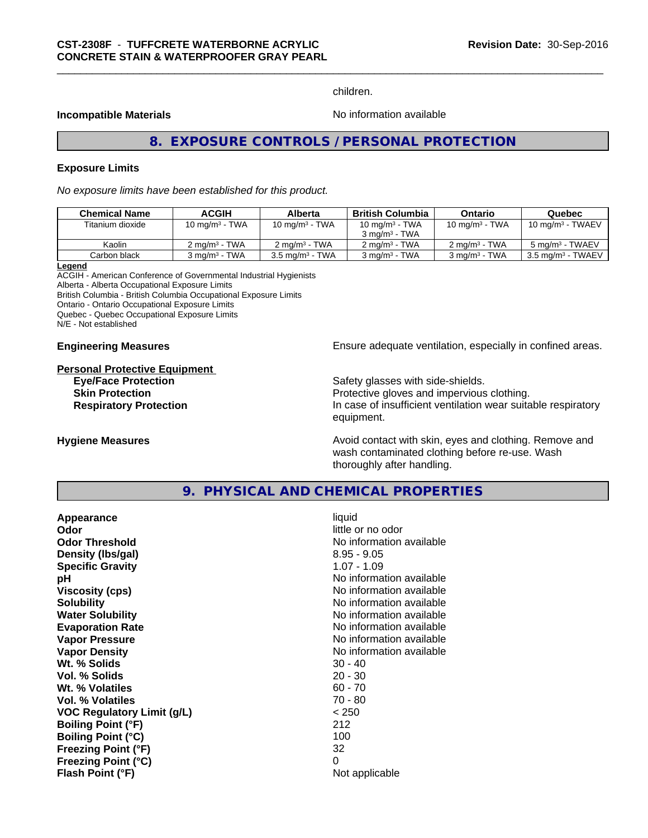children.

#### **Incompatible Materials No information available No** information available

## **8. EXPOSURE CONTROLS / PERSONAL PROTECTION**

#### **Exposure Limits**

*No exposure limits have been established for this product.*

| <b>Chemical Name</b> | ACGIH                     | Alberta                    | <b>British Columbia</b>     | <b>Ontario</b>              | Quebec                       |
|----------------------|---------------------------|----------------------------|-----------------------------|-----------------------------|------------------------------|
| Titanium dioxide     | $10 \text{ mg/m}^3$ - TWA | 10 mg/m <sup>3</sup> - TWA | 10 mg/m $3$ - TWA           | 10 $mq/m3$ - TWA            | $10 \text{ ma/m}^3$ - TWAEV  |
|                      |                           |                            | $3 \text{ ma/m}^3$ - TWA    |                             |                              |
| Kaolin               | $2 \text{ ma/m}^3$ - TWA  | $2 \text{ ma/m}^3$ - TWA   | $2 \text{ ma/m}^3$ - TWA    | $2 \text{ ma/m}^3$ - TWA    | 5 mg/m <sup>3</sup> - TWAEV  |
| Carbon black         | 3 ma/m $3$ - TWA          | $3.5 \text{ mg/m}^3$ - TWA | $3$ mg/m <sup>3</sup> - TWA | $3$ mg/m <sup>3</sup> - TWA | $3.5 \text{ mg/m}^3$ - TWAEV |

#### **Legend**

ACGIH - American Conference of Governmental Industrial Hygienists Alberta - Alberta Occupational Exposure Limits British Columbia - British Columbia Occupational Exposure Limits Ontario - Ontario Occupational Exposure Limits Quebec - Quebec Occupational Exposure Limits N/E - Not established

## **Personal Protective Equipment Eye/Face Protection Safety glasses with side-shields.**

**Engineering Measures Ensure adequate ventilation, especially in confined areas.** 

**Skin Protection Protection Protective gloves and impervious clothing. Respiratory Protection In case of insufficient ventilation wear suitable respiratory** equipment.

**Hygiene Measures Avoid contact with skin, eyes and clothing. Remove and Avoid contact with skin, eyes and clothing. Remove and Avoid contact with skin, eyes and clothing. Remove and** wash contaminated clothing before re-use. Wash thoroughly after handling.

#### **9. PHYSICAL AND CHEMICAL PROPERTIES**

| Appearance                        | liquid                   |
|-----------------------------------|--------------------------|
| Odor                              | little or no odor        |
| <b>Odor Threshold</b>             | No information available |
| Density (Ibs/gal)                 | $8.95 - 9.05$            |
| <b>Specific Gravity</b>           | $1.07 - 1.09$            |
| рH                                | No information available |
| Viscosity (cps)                   | No information available |
| <b>Solubility</b>                 | No information available |
| <b>Water Solubility</b>           | No information available |
| <b>Evaporation Rate</b>           | No information available |
| Vapor Pressure                    | No information available |
| <b>Vapor Density</b>              | No information available |
| Wt. % Solids                      | $30 - 40$                |
| Vol. % Solids                     | $20 - 30$                |
| Wt. % Volatiles                   | $60 - 70$                |
| Vol. % Volatiles                  | 70 - 80                  |
| <b>VOC Regulatory Limit (g/L)</b> | < 250                    |
| <b>Boiling Point (°F)</b>         | 212                      |
| <b>Boiling Point (°C)</b>         | 100                      |
| <b>Freezing Point (°F)</b>        | 32                       |
| <b>Freezing Point (°C)</b>        | 0                        |
| Flash Point (°F)                  | Not applicable           |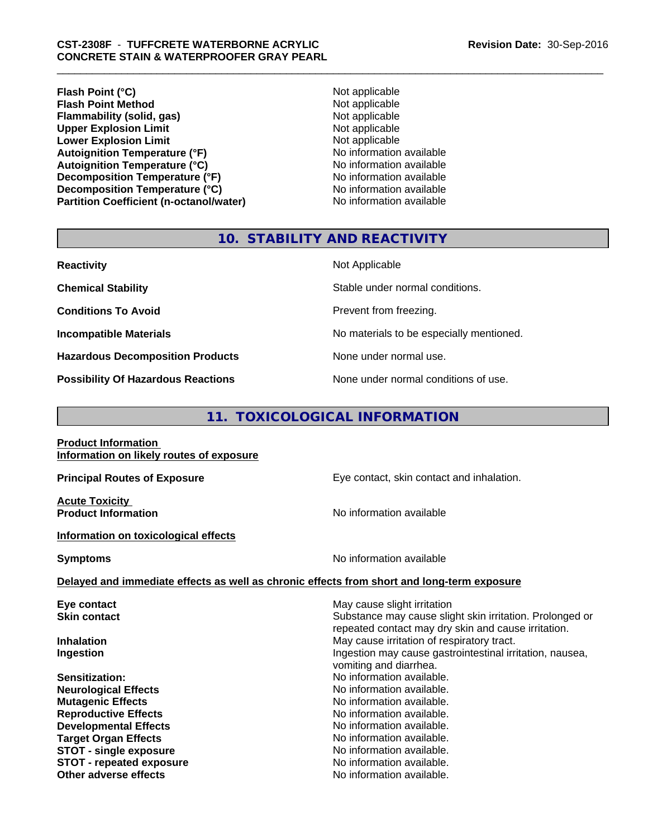**Flash Point (°C)**<br> **Flash Point Method**<br> **Flash Point Method**<br> **CO Flash Point Method**<br> **Flammability (solid, gas)**<br> **Plammability (solid, gas)**<br> **Not applicable Flammability** (solid, gas) **Upper Explosion Limit**<br> **Lower Explosion Limit**<br> **Lower Explosion Limit Lower Explosion Limit**<br> **Autoignition Temperature (°F)**<br> **Autoignition Temperature (°F)**<br> **Autoignition Temperature (°F) Autoignition Temperature (°F) Autoignition Temperature (°C)** No information available **Decomposition Temperature (°F)** No information available **Decomposition Temperature (°C)** No information available **Partition Coefficient (n-octanol/water) No information available** 

#### **10. STABILITY AND REACTIVITY**

| <b>Reactivity</b>                         | Not Applicable                           |
|-------------------------------------------|------------------------------------------|
| <b>Chemical Stability</b>                 | Stable under normal conditions.          |
| <b>Conditions To Avoid</b>                | Prevent from freezing.                   |
| <b>Incompatible Materials</b>             | No materials to be especially mentioned. |
| <b>Hazardous Decomposition Products</b>   | None under normal use.                   |
| <b>Possibility Of Hazardous Reactions</b> | None under normal conditions of use.     |

#### **11. TOXICOLOGICAL INFORMATION**

#### **Product Information Information on likely routes of exposure**

**Acute Toxicity** 

**Information on toxicological effects**

**Principal Routes of Exposure Exposure** Eye contact, skin contact and inhalation.

**Product Information Contract Contract Information No information available** 

**Symptoms** No information available

#### **Delayed and immediate effects as well as chronic effects from short and long-term exposure**

**Eye contact Exercise Solution** May cause slight irritation **Skin contact** Substance may cause slight skin irritation. Prolonged or repeated contact may dry skin and cause irritation. **Inhalation** May cause irritation of respiratory tract. **Ingestion Ingestion Index is a linear in the line of the line of the line of the line of the line of the line of the line of the line of the line of the line of the line of the line of the line of the line of the line** vomiting and diarrhea. **Sensitization:** No information available. **Neurological Effects** No information available. **Mutagenic Effects No information available. Reproductive Effects No information available.** No information available. **Developmental Effects No information available. Target Organ Effects**<br> **STOT - single exposure**<br> **STOT - single exposure**<br> **No information available. STOT** - single exposure **STOT - repeated exposure and intervals and information available.**<br> **Other adverse effects and intervals and information available.** No information available.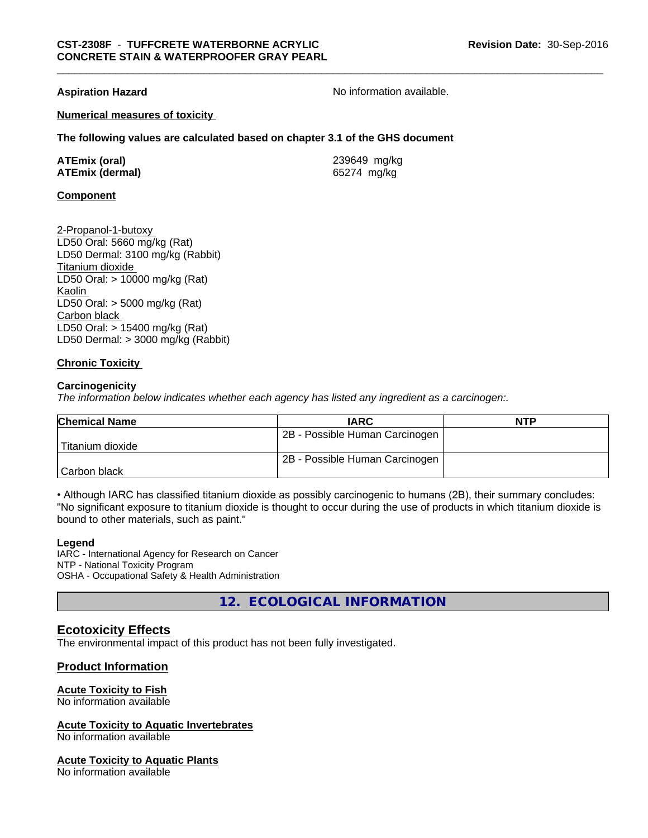#### **Numerical measures of toxicity**

**The following values are calculated based on chapter 3.1 of the GHS document**

| <b>ATEmix (oral)</b>   | 239649 mg/kg |
|------------------------|--------------|
| <b>ATEmix (dermal)</b> | 65274 mg/kg  |

#### **Component**

2-Propanol-1-butoxy LD50 Oral: 5660 mg/kg (Rat) LD50 Dermal: 3100 mg/kg (Rabbit) Titanium dioxide LD50 Oral: > 10000 mg/kg (Rat) Kaolin LD50 Oral: > 5000 mg/kg (Rat) Carbon black LD50 Oral: > 15400 mg/kg (Rat) LD50 Dermal: > 3000 mg/kg (Rabbit)

#### **Chronic Toxicity**

#### **Carcinogenicity**

*The information below indicateswhether each agency has listed any ingredient as a carcinogen:.*

| <b>Chemical Name</b> | <b>IARC</b>                    | <b>NTP</b> |
|----------------------|--------------------------------|------------|
|                      | 2B - Possible Human Carcinogen |            |
| Titanium dioxide     |                                |            |
|                      | 2B - Possible Human Carcinogen |            |
| l Carbon black       |                                |            |

• Although IARC has classified titanium dioxide as possibly carcinogenic to humans (2B), their summary concludes: "No significant exposure to titanium dioxide is thought to occur during the use of products in which titanium dioxide is bound to other materials, such as paint."

#### **Legend**

IARC - International Agency for Research on Cancer NTP - National Toxicity Program OSHA - Occupational Safety & Health Administration

**12. ECOLOGICAL INFORMATION**

#### **Ecotoxicity Effects**

The environmental impact of this product has not been fully investigated.

#### **Product Information**

#### **Acute Toxicity to Fish**

No information available

#### **Acute Toxicity to Aquatic Invertebrates**

No information available

#### **Acute Toxicity to Aquatic Plants**

No information available

**Aspiration Hazard Aspiration Hazard No information available.**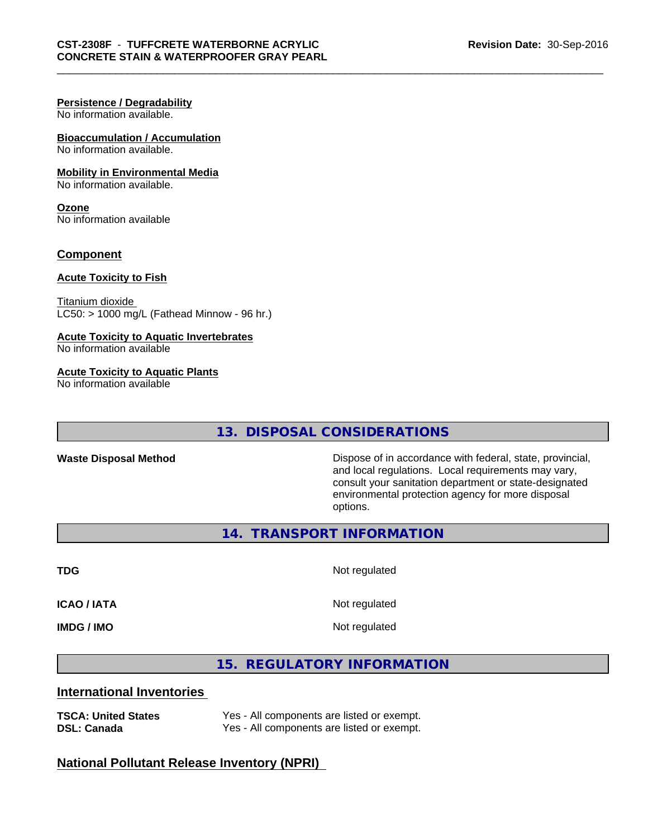#### **Persistence / Degradability**

No information available.

#### **Bioaccumulation / Accumulation** No information available.

#### **Mobility in Environmental Media**

No information available.

#### **Ozone** No information available

#### **Component**

#### **Acute Toxicity to Fish**

Titanium dioxide  $LC50:$  > 1000 mg/L (Fathead Minnow - 96 hr.)

#### **Acute Toxicity to Aquatic Invertebrates**

No information available

#### **Acute Toxicity to Aquatic Plants**

No information available

#### **13. DISPOSAL CONSIDERATIONS**

**Waste Disposal Method Dispose of in accordance with federal, state, provincial,** and local regulations. Local requirements may vary, consult your sanitation department or state-designated environmental protection agency for more disposal options.

**14. TRANSPORT INFORMATION**

**TDG** Not regulated **ICAO / IATA** Not regulated **IMDG / IMO** Not regulated

**15. REGULATORY INFORMATION**

#### **International Inventories**

**TSCA: United States** Yes - All components are listed or exempt.<br> **DSL: Canada** Yes - All components are listed or exempt. Yes - All components are listed or exempt.

#### **National Pollutant Release Inventory (NPRI)**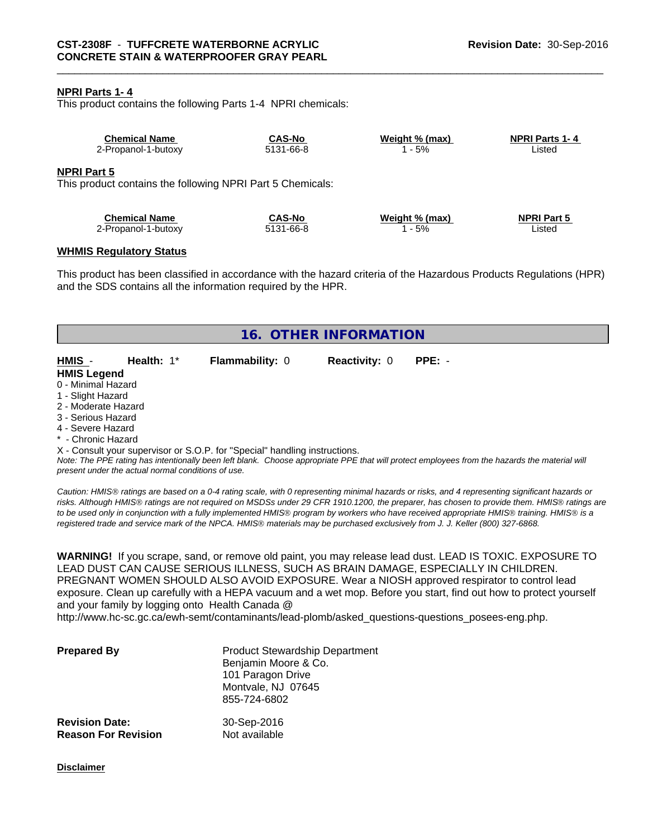#### **NPRI Parts 1- 4**

This product contains the following Parts 1-4 NPRI chemicals:

| <b>Chemical Name</b>                                                             | <b>CAS-No</b> | Weight % (max) | <b>NPRI Parts 1-4</b> |  |
|----------------------------------------------------------------------------------|---------------|----------------|-----------------------|--|
| 2-Propanol-1-butoxy                                                              | 5131-66-8     | - 5%           | Listed                |  |
| <b>NPRI Part 5</b><br>This product contains the following NPRI Part 5 Chemicals: |               |                |                       |  |
| <b>Chemical Name</b>                                                             | <b>CAS-No</b> | Weight % (max) | <b>NPRI Part 5</b>    |  |
| 2-Propanol-1-butoxy                                                              | 5131-66-8     | - 5%           | Listed                |  |

#### **WHMIS Regulatory Status**

This product has been classified in accordance with the hazard criteria of the Hazardous Products Regulations (HPR) and the SDS contains all the information required by the HPR.

| 16. OTHER INFORMATION                              |                                                                            |                      |                                                                                                                                                 |  |
|----------------------------------------------------|----------------------------------------------------------------------------|----------------------|-------------------------------------------------------------------------------------------------------------------------------------------------|--|
| HMIS -<br><b>Health: 1*</b>                        | <b>Flammability: 0</b>                                                     | <b>Reactivity: 0</b> | $PPE: -$                                                                                                                                        |  |
| <b>HMIS Legend</b>                                 |                                                                            |                      |                                                                                                                                                 |  |
|                                                    |                                                                            |                      |                                                                                                                                                 |  |
| 0 - Minimal Hazard                                 |                                                                            |                      |                                                                                                                                                 |  |
| 1 - Slight Hazard                                  |                                                                            |                      |                                                                                                                                                 |  |
| 2 - Moderate Hazard                                |                                                                            |                      |                                                                                                                                                 |  |
| 3 - Serious Hazard                                 |                                                                            |                      |                                                                                                                                                 |  |
| 4 - Severe Hazard                                  |                                                                            |                      |                                                                                                                                                 |  |
| * - Chronic Hazard                                 |                                                                            |                      |                                                                                                                                                 |  |
|                                                    |                                                                            |                      |                                                                                                                                                 |  |
|                                                    | X - Consult your supervisor or S.O.P. for "Special" handling instructions. |                      |                                                                                                                                                 |  |
|                                                    |                                                                            |                      | Note: The PPE rating has intentionally been left blank. Choose appropriate PPE that will protect employees from the hazards the material will   |  |
| present under the actual normal conditions of use. |                                                                            |                      |                                                                                                                                                 |  |
|                                                    |                                                                            |                      |                                                                                                                                                 |  |
|                                                    |                                                                            |                      | Caution: HMIS® ratings are based on a 0-4 rating scale, with 0 representing minimal hazards or risks, and 4 representing significant hazards or |  |

*risks. Although HMISÒ ratings are not required on MSDSs under 29 CFR 1910.1200, the preparer, has chosen to provide them. HMISÒ ratings are to be used only in conjunction with a fully implemented HMISÒ program by workers who have received appropriate HMISÒ training. HMISÒ is a registered trade and service mark of the NPCA. HMISÒ materials may be purchased exclusively from J. J. Keller (800) 327-6868.*

**WARNING!** If you scrape, sand, or remove old paint, you may release lead dust. LEAD IS TOXIC. EXPOSURE TO LEAD DUST CAN CAUSE SERIOUS ILLNESS, SUCH AS BRAIN DAMAGE, ESPECIALLY IN CHILDREN. PREGNANT WOMEN SHOULD ALSO AVOID EXPOSURE.Wear a NIOSH approved respirator to control lead exposure. Clean up carefully with a HEPA vacuum and a wet mop. Before you start, find out how to protect yourself and your family by logging onto Health Canada @

http://www.hc-sc.gc.ca/ewh-semt/contaminants/lead-plomb/asked\_questions-questions\_posees-eng.php.

| <b>Prepared By</b>         | <b>Product Stewardship Department</b><br>Benjamin Moore & Co.<br>101 Paragon Drive<br>Montvale, NJ 07645<br>855-724-6802 |
|----------------------------|--------------------------------------------------------------------------------------------------------------------------|
| <b>Revision Date:</b>      | 30-Sep-2016                                                                                                              |
| <b>Reason For Revision</b> | Not available                                                                                                            |

**Disclaimer**